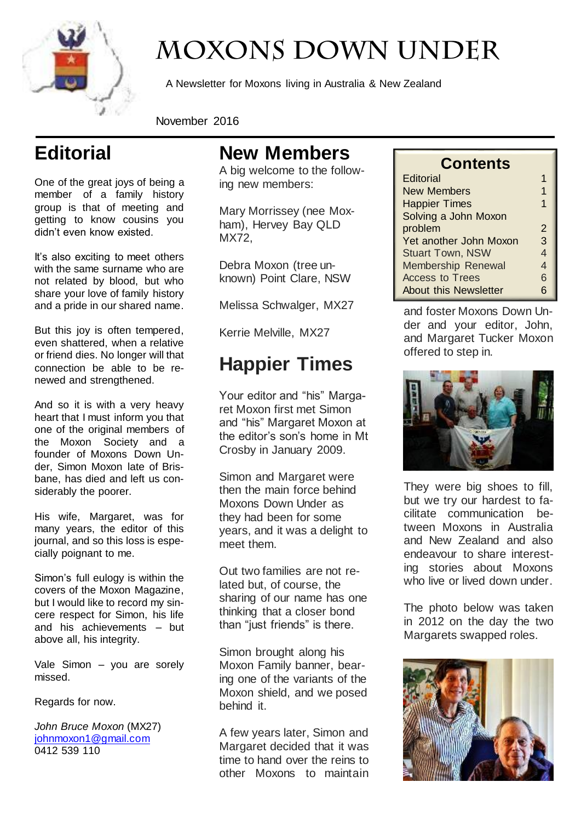

## **MOXONS DOWN UNDER**

A Newsletter for Moxons living in Australia & New Zealand

November 2016

## **Editorial**

One of the great joys of being a member of a family history group is that of meeting and getting to know cousins you didn't even know existed.

It's also exciting to meet others with the same surname who are not related by blood, but who share your love of family history and a pride in our shared name.

But this joy is often tempered, even shattered, when a relative or friend dies. No longer will that connection be able to be renewed and strengthened.

And so it is with a very heavy heart that I must inform you that one of the original members of the Moxon Society and a founder of Moxons Down Under, Simon Moxon late of Brisbane, has died and left us considerably the poorer.

His wife, Margaret, was for many years, the editor of this journal, and so this loss is especially poignant to me.

Simon's full eulogy is within the covers of the Moxon Magazine, but I would like to record my sincere respect for Simon, his life and his achievements – but above all, his integrity.

Vale Simon – you are sorely missed.

Regards for now.

*John Bruce Moxon* (MX27) [johnmoxon1@gmail.com](mailto:johnmoxon1@gmail.com) 0412 539 110

#### **New Members**

A big welcome to the following new members:

Mary Morrissey (nee Moxham), Hervey Bay QLD MX72,

Debra Moxon (tree unknown) Point Clare, NSW

Melissa Schwalger, MX27

Kerrie Melville, MX27

### **Happier Times**

Your editor and "his" Margaret Moxon first met Simon and "his" Margaret Moxon at the editor's son's home in Mt Crosby in January 2009.

Simon and Margaret were then the main force behind Moxons Down Under as they had been for some years, and it was a delight to meet them.

Out two families are not related but, of course, the sharing of our name has one thinking that a closer bond than "just friends" is there.

Simon brought along his Moxon Family banner, bearing one of the variants of the Moxon shield, and we posed behind it.

A few years later, Simon and Margaret decided that it was time to hand over the reins to other Moxons to maintain

#### **Contents**

| <b>Editorial</b>             |    |
|------------------------------|----|
| <b>New Members</b>           |    |
| <b>Happier Times</b>         | 1  |
| Solving a John Moxon         |    |
| problem                      | 2  |
| Yet another John Moxon       | 3  |
| <b>Stuart Town, NSW</b>      | 4  |
| <b>Membership Renewal</b>    | 4  |
| <b>Access to Trees</b>       | 6  |
| <b>About this Newsletter</b> | ิค |

and foster Moxons Down Under and your editor, John, and Margaret Tucker Moxon offered to step in.



They were big shoes to fill, but we try our hardest to facilitate communication between Moxons in Australia and New Zealand and also endeavour to share interesting stories about Moxons who live or lived down under.

The photo below was taken in 2012 on the day the two Margarets swapped roles.

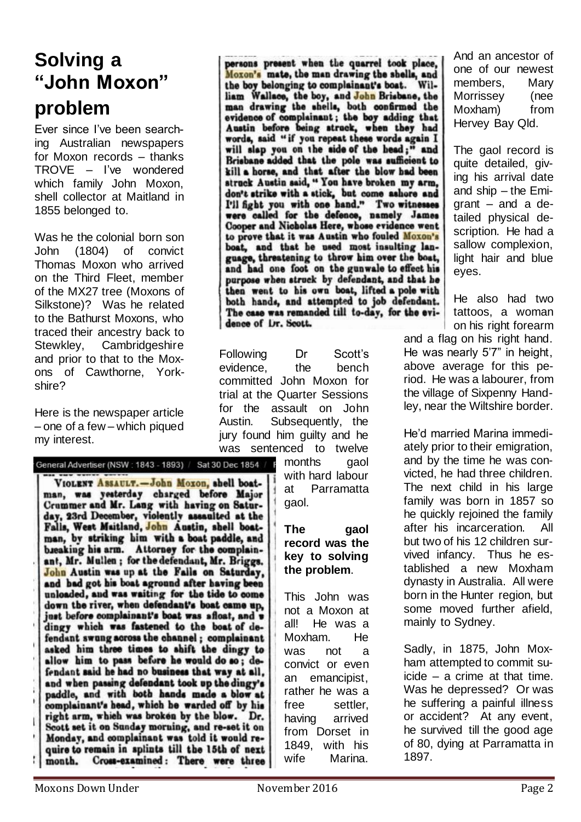#### **Solving a "John Moxon" problem**

Ever since I've been searching Australian newspapers for Moxon records – thanks TROVE – I've wondered which family John Moxon, shell collector at Maitland in 1855 belonged to.

Was he the colonial born son John (1804) of convict Thomas Moxon who arrived on the Third Fleet, member of the MX27 tree (Moxons of Silkstone)? Was he related to the Bathurst Moxons, who traced their ancestry back to Stewkley, Cambridgeshire and prior to that to the Moxons of Cawthorne, Yorkshire?

Here is the newspaper article – one of a few – which piqued my interest.

#### General Advertiser (NSW : 1843 - 1893) / Sat 30 Dec 1854 /

VIOLENT ASSAULT.-John Moxon, shell boatman, was yesterday charged before Major Crummer and Mr. Lang with having on Saturday, 23rd December, violently assaulted at the Falis, West Maitland, John Austin, shell boatman, by striking him with a boat paddle, and breaking his arm. Attorney for the complainant, Mr. Mullen; for the defendant, Mr. Briggs. John Austin was up at the Falls on Saturday, and bad got his boat aground after having been unloaded, and was waiting for the tide to come down the river, when defendant's boat came up, just before complainant's boat was afloat, and w dingy which was fastened to the boat of defendant swung across the channel; complainant asked him three times to shift the dingy to allow him to pass before he would do so; defendant said he had no business that way at all. and when passing defendant took up the dingy's paddle, and with both hands made a blow at complainant's head, which he warded off by his right arm, which was broken by the blow. Dr. Scott set it on Sunday morning, and re-set it on Monday, and complainant was told it would re-<br>quire to remain in splints till the 15th of next Cross-examined: There were three month.

persons present when the quarrel took place, Moxon's mate, the man drawing the shells, and the boy belonging to complainant's boat. William Wallace, the boy, and John Brisbane, the man drawing the shells, both confirmed the evidence of complainant; the boy adding that Austin before being struck, when they had words, said "if you repeat these words again I will slap you on the side of the head;" and Brisbane added that the pole was sufficient to kill a horse, and that after the blow had been struck Austin said, " You have broken my arm, don't strike with a stick, but come ashore and I'll fight you with one hand." Two witnesses were called for the defence, namely James Cooper and Nicholas Here, whose evidence went to prove that it was Austin who fouled Moxon's boat, and that he used most insulting language, threatening to throw him over the boat, and had one foot on the gunwale to effect his purpose when struck by defendant, and that he then went to his own boat, lifted a pole with both hands, and attempted to job defendant. The case was remanded till to-day, for the evidence of Dr. Scott.

Following Dr Scott's evidence, the bench committed John Moxon for trial at the Quarter Sessions for the assault on John Austin. Subsequently, the jury found him guilty and he was sentenced to twelve

> months gaol with hard labour at Parramatta gaol.

#### **The gaol record was the key to solving the problem**.

This John was not a Moxon at all! He was a Moxham. He was not a convict or even an emancipist, rather he was a free settler, having arrived from Dorset in 1849, with his wife Marina.

And an ancestor of one of our newest members, Mary Morrissey (nee Moxham) from Hervey Bay Qld.

The gaol record is quite detailed, giving his arrival date and ship – the Emigrant – and a detailed physical description. He had a sallow complexion, light hair and blue eyes.

He also had two tattoos, a woman on his right forearm

and a flag on his right hand. He was nearly 5'7" in height, above average for this period. He was a labourer, from the village of Sixpenny Handley, near the Wiltshire border.

He'd married Marina immediately prior to their emigration, and by the time he was convicted, he had three children. The next child in his large family was born in 1857 so he quickly rejoined the family after his incarceration. All but two of his 12 children survived infancy. Thus he established a new Moxham dynasty in Australia. All were born in the Hunter region, but some moved further afield, mainly to Sydney.

Sadly, in 1875, John Moxham attempted to commit suicide – a crime at that time. Was he depressed? Or was he suffering a painful illness or accident? At any event, he survived till the good age of 80, dying at Parramatta in 1897.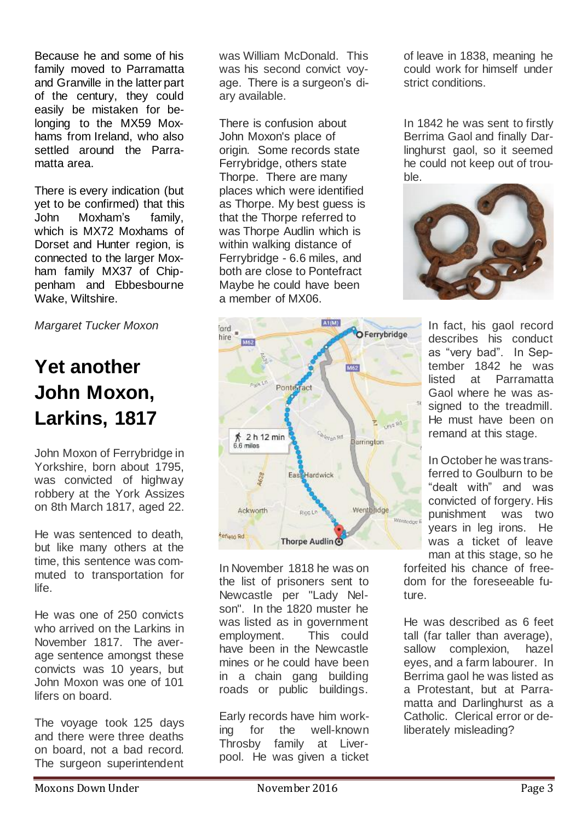Because he and some of his family moved to Parramatta and Granville in the latter part of the century, they could easily be mistaken for belonging to the MX59 Moxhams from Ireland, who also settled around the Parramatta area.

There is every indication (but yet to be confirmed) that this John Moxham's family, which is MX72 Moxhams of Dorset and Hunter region, is connected to the larger Moxham family MX37 of Chippenham and Ebbesbourne Wake, Wiltshire.

*Margaret Tucker Moxon*

## **Yet another John Moxon, Larkins, 1817**

John Moxon of Ferrybridge in Yorkshire, born about 1795, was convicted of highway robbery at the York Assizes on 8th March 1817, aged 22.

He was sentenced to death, but like many others at the time, this sentence was commuted to transportation for life.

He was one of 250 convicts who arrived on the Larkins in November 1817. The average sentence amongst these convicts was 10 years, but John Moxon was one of 101 lifers on board.

The voyage took 125 days and there were three deaths on board, not a bad record. The surgeon superintendent

was William McDonald. This was his second convict voyage. There is a surgeon's diary available.

There is confusion about John Moxon's place of origin. Some records state Ferrybridge, others state Thorpe. There are many places which were identified as Thorpe. My best guess is that the Thorpe referred to was Thorpe Audlin which is within walking distance of Ferrybridge - 6.6 miles, and both are close to Pontefract Maybe he could have been a member of MX06.



In November 1818 he was on the list of prisoners sent to Newcastle per "Lady Nelson". In the 1820 muster he was listed as in government employment. This could have been in the Newcastle mines or he could have been in a chain gang building roads or public buildings.

Early records have him working for the well-known Throsby family at Liverpool. He was given a ticket

of leave in 1838, meaning he could work for himself under strict conditions.

In 1842 he was sent to firstly Berrima Gaol and finally Darlinghurst gaol, so it seemed he could not keep out of trouble.



In fact, his gaol record describes his conduct as "very bad". In September 1842 he was listed at Parramatta Gaol where he was assigned to the treadmill. He must have been on remand at this stage.

In October he was transferred to Goulburn to be "dealt with" and was convicted of forgery. His punishment was two years in leg irons. He was a ticket of leave man at this stage, so he

forfeited his chance of freedom for the foreseeable future.

He was described as 6 feet tall (far taller than average), sallow complexion, hazel eyes, and a farm labourer. In Berrima gaol he was listed as a Protestant, but at Parramatta and Darlinghurst as a Catholic. Clerical error or deliberately misleading?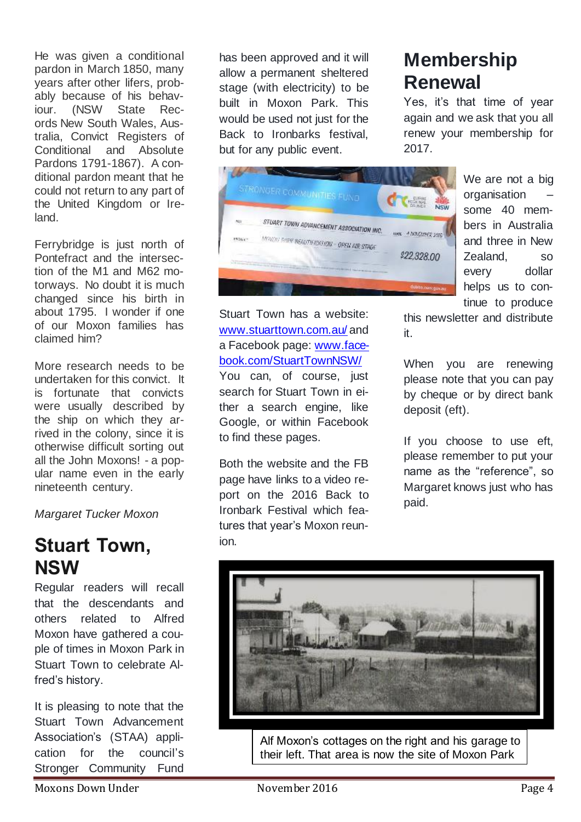He was given a conditional pardon in March 1850, many years after other lifers, probably because of his behaviour. (NSW State Records New South Wales, Australia, Convict Registers of Conditional and Absolute Pardons 1791-1867). A conditional pardon meant that he could not return to any part of the United Kingdom or Ireland.

Ferrybridge is just north of Pontefract and the intersection of the M1 and M62 motorways. No doubt it is much changed since his birth in about 1795. I wonder if one of our Moxon families has claimed him?

More research needs to be undertaken for this convict. It is fortunate that convicts were usually described by the ship on which they arrived in the colony, since it is otherwise difficult sorting out all the John Moxons! - a popular name even in the early nineteenth century.

*Margaret Tucker Moxon*

#### **Stuart Town, NSW**

Regular readers will recall that the descendants and others related to Alfred Moxon have gathered a couple of times in Moxon Park in Stuart Town to celebrate Alfred's history.

It is pleasing to note that the Stuart Town Advancement Association's (STAA) application for the council's Stronger Community Fund

has been approved and it will allow a permanent sheltered stage (with electricity) to be built in Moxon Park. This would be used not just for the Back to Ironbarks festival, but for any public event.



Stuart Town has a website: [www.stuarttown.com.au/](http://www.stuarttown.com.au/) and a Facebook page: [www.face](http://www.facebook.com/StuartTownNSW/)[book.com/StuartTownNSW/](http://www.facebook.com/StuartTownNSW/) You can, of course, just

search for Stuart Town in either a search engine, like Google, or within Facebook to find these pages.

Both the website and the FB page have links to a video report on the 2016 Back to Ironbark Festival which features that year's Moxon reunion.

### **Membership Renewal**

Yes, it's that time of year again and we ask that you all renew your membership for 2017.

> We are not a big organisation – some 40 members in Australia and three in New Zealand, so every dollar helps us to continue to produce

this newsletter and distribute it.

When you are renewing please note that you can pay by cheque or by direct bank deposit (eft).

If you choose to use eft, please remember to put your name as the "reference", so Margaret knows just who has paid.



Alf Moxon's cottages on the right and his garage to their left. That area is now the site of Moxon Park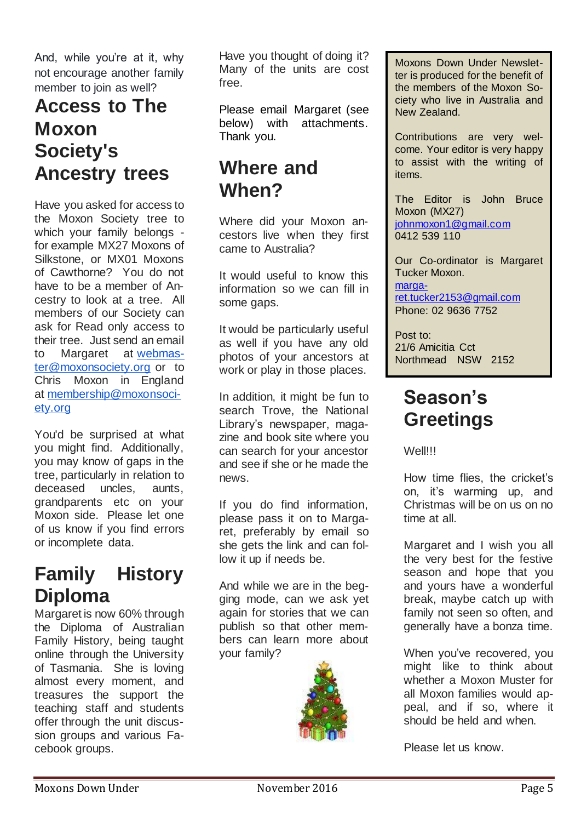And, while you're at it, why not encourage another family member to join as well?

#### **Access to The Moxon Society's Ancestry trees**

Have you asked for access to the Moxon Society tree to which your family belongs for example MX27 Moxons of Silkstone, or MX01 Moxons of Cawthorne? You do not have to be a member of Ancestry to look at a tree. All members of our Society can ask for Read only access to their tree. Just send an email to Margaret at [webmas](mailto:webmaster@moxonsociety.org)[ter@moxonsociety.org](mailto:webmaster@moxonsociety.org) or to Chris Moxon in England at [membership@moxonsoci](mailto:membership@moxonsociety.org)[ety.org](mailto:membership@moxonsociety.org)

You'd be surprised at what you might find. Additionally, you may know of gaps in the tree, particularly in relation to deceased uncles, aunts, grandparents etc on your Moxon side. Please let one of us know if you find errors or incomplete data.

#### **Family History Diploma**

Margaret is now 60% through the Diploma of Australian Family History, being taught online through the University of Tasmania. She is loving almost every moment, and treasures the support the teaching staff and students offer through the unit discussion groups and various Facebook groups.

Have you thought of doing it? Many of the units are cost free.

Please email Margaret (see below) with attachments. Thank you.

#### **Where and When?**

Where did your Moxon ancestors live when they first came to Australia?

It would useful to know this information so we can fill in some gaps.

It would be particularly useful as well if you have any old photos of your ancestors at work or play in those places.

In addition, it might be fun to search Trove, the National Library's newspaper, magazine and book site where you can search for your ancestor and see if she or he made the news.

If you do find information, please pass it on to Margaret, preferably by email so she gets the link and can follow it up if needs be.

And while we are in the begging mode, can we ask yet again for stories that we can publish so that other members can learn more about your family?



Moxons Down Under Newsletter is produced for the benefit of the members of the Moxon Society who live in Australia and New Zealand.

Contributions are very welcome. Your editor is very happy to assist with the writing of items.

The Editor is John Bruce Moxon (MX27) [johnmoxon1@gmail.com](mailto:johnmoxon1@gmail.com) 0412 539 110

Our Co-ordinator is Margaret Tucker Moxon. [marga](mailto:margaret.tucker2153@gmail.com)[ret.tucker2153@gmail.com](mailto:margaret.tucker2153@gmail.com) Phone: 02 9636 7752

Post to: 21/6 Amicitia Cct Northmead NSW 2152

#### **Season's Greetings**

Well!!!

How time flies, the cricket's on, it's warming up, and Christmas will be on us on no time at all.

Margaret and I wish you all the very best for the festive season and hope that you and yours have a wonderful break, maybe catch up with family not seen so often, and generally have a bonza time.

When you've recovered, you might like to think about whether a Moxon Muster for all Moxon families would appeal, and if so, where it should be held and when.

Please let us know.